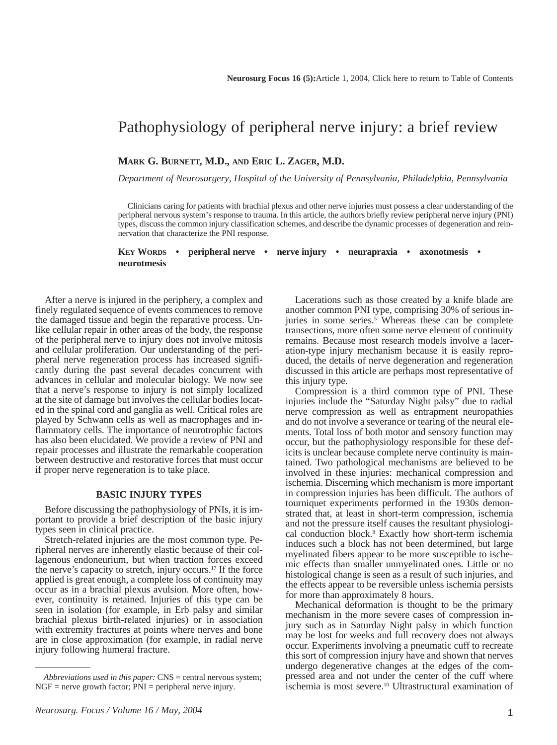## **MARK G. BURNETT, M.D., AND ERIC L. ZAGER, M.D.**

*Department of Neurosurgery, Hospital of the University of Pennsylvania, Philadelphia, Pennsylvania*

Clinicians caring for patients with brachial plexus and other nerve injuries must possess a clear understanding of the peripheral nervous system's response to trauma. In this article, the authors briefly review peripheral nerve injury (PNI) types, discuss the common injury classification schemes, and describe the dynamic processes of degeneration and reinnervation that characterize the PNI response.

## **KEY WORDS • peripheral nerve • nerve injury • neurapraxia • axonotmesis • neurotmesis**

After a nerve is injured in the periphery, a complex and finely regulated sequence of events commences to remove the damaged tissue and begin the reparative process. Unlike cellular repair in other areas of the body, the response of the peripheral nerve to injury does not involve mitosis and cellular proliferation. Our understanding of the peripheral nerve regeneration process has increased significantly during the past several decades concurrent with advances in cellular and molecular biology. We now see that a nerve's response to injury is not simply localized at the site of damage but involves the cellular bodies located in the spinal cord and ganglia as well. Critical roles are played by Schwann cells as well as macrophages and inflammatory cells. The importance of neurotrophic factors has also been elucidated. We provide a review of PNI and repair processes and illustrate the remarkable cooperation between destructive and restorative forces that must occur if proper nerve regeneration is to take place.

#### **BASIC INJURY TYPES**

Before discussing the pathophysiology of PNIs, it is important to provide a brief description of the basic injury types seen in clinical practice.

Stretch-related injuries are the most common type. Peripheral nerves are inherently elastic because of their collagenous endoneurium, but when traction forces exceed the nerve's capacity to stretch, injury occurs.<sup>17</sup> If the force applied is great enough, a complete loss of continuity may occur as in a brachial plexus avulsion. More often, however, continuity is retained. Injuries of this type can be seen in isolation (for example, in Erb palsy and similar brachial plexus birth-related injuries) or in association with extremity fractures at points where nerves and bone are in close approximation (for example, in radial nerve injury following humeral fracture.

Lacerations such as those created by a knife blade are another common PNI type, comprising 30% of serious injuries in some series.<sup>5</sup> Whereas these can be complete transections, more often some nerve element of continuity remains. Because most research models involve a laceration-type injury mechanism because it is easily reproduced, the details of nerve degeneration and regeneration discussed in this article are perhaps most representative of this injury type.

Compression is a third common type of PNI. These injuries include the "Saturday Night palsy" due to radial nerve compression as well as entrapment neuropathies and do not involve a severance or tearing of the neural elements. Total loss of both motor and sensory function may occur, but the pathophysiology responsible for these deficits is unclear because complete nerve continuity is maintained. Two pathological mechanisms are believed to be involved in these injuries: mechanical compression and ischemia. Discerning which mechanism is more important in compression injuries has been difficult. The authors of tourniquet experiments performed in the 1930s demonstrated that, at least in short-term compression, ischemia and not the pressure itself causes the resultant physiological conduction block.8 Exactly how short-term ischemia induces such a block has not been determined, but large myelinated fibers appear to be more susceptible to ischemic effects than smaller unmyelinated ones. Little or no histological change is seen as a result of such injuries, and the effects appear to be reversible unless ischemia persists for more than approximately 8 hours.

Mechanical deformation is thought to be the primary mechanism in the more severe cases of compression injury such as in Saturday Night palsy in which function may be lost for weeks and full recovery does not always occur. Experiments involving a pneumatic cuff to recreate this sort of compression injury have and shown that nerves undergo degenerative changes at the edges of the compressed area and not under the center of the cuff where ischemia is most severe.10 Ultrastructural examination of

*Abbreviations used in this paper:* CNS = central nervous system;  $NGF =$  nerve growth factor;  $PNI =$  peripheral nerve injury.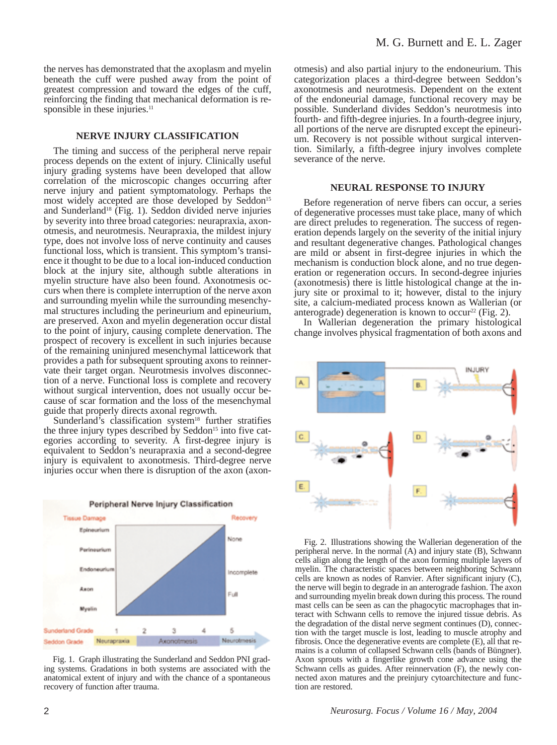the nerves has demonstrated that the axoplasm and myelin beneath the cuff were pushed away from the point of greatest compression and toward the edges of the cuff, reinforcing the finding that mechanical deformation is responsible in these injuries.<sup>11</sup>

#### **NERVE INJURY CLASSIFICATION**

The timing and success of the peripheral nerve repair process depends on the extent of injury. Clinically useful injury grading systems have been developed that allow correlation of the microscopic changes occurring after nerve injury and patient symptomatology. Perhaps the most widely accepted are those developed by Seddon<sup>15</sup> and Sunderland<sup>18</sup> (Fig. 1). Seddon divided nerve injuries by severity into three broad categories: neurapraxia, axonotmesis, and neurotmesis. Neurapraxia, the mildest injury type, does not involve loss of nerve continuity and causes functional loss, which is transient. This symptom's transience it thought to be due to a local ion-induced conduction block at the injury site, although subtle alterations in myelin structure have also been found. Axonotmesis occurs when there is complete interruption of the nerve axon and surrounding myelin while the surrounding mesenchymal structures including the perineurium and epineurium, are preserved. Axon and myelin degeneration occur distal to the point of injury, causing complete denervation. The prospect of recovery is excellent in such injuries because of the remaining uninjured mesenchymal latticework that provides a path for subsequent sprouting axons to reinnervate their target organ. Neurotmesis involves disconnection of a nerve. Functional loss is complete and recovery without surgical intervention, does not usually occur because of scar formation and the loss of the mesenchymal guide that properly directs axonal regrowth.

Sunderland's classification system<sup>18</sup> further stratifies the three injury types described by Seddon<sup>15</sup> into five categories according to severity. A first-degree injury is equivalent to Seddon's neurapraxia and a second-degree injury is equivalent to axonotmesis. Third-degree nerve injuries occur when there is disruption of the axon (axon-



Fig. 1. Graph illustrating the Sunderland and Seddon PNI grading systems. Gradations in both systems are associated with the anatomical extent of injury and with the chance of a spontaneous recovery of function after trauma.

otmesis) and also partial injury to the endoneurium. This categorization places a third-degree between Seddon's axonotmesis and neurotmesis. Dependent on the extent of the endoneurial damage, functional recovery may be possible. Sunderland divides Seddon's neurotmesis into fourth- and fifth-degree injuries. In a fourth-degree injury, all portions of the nerve are disrupted except the epineurium. Recovery is not possible without surgical intervention. Similarly, a fifth-degree injury involves complete severance of the nerve.

#### **NEURAL RESPONSE TO INJURY**

Before regeneration of nerve fibers can occur, a series of degenerative processes must take place, many of which are direct preludes to regeneration. The success of regeneration depends largely on the severity of the initial injury and resultant degenerative changes. Pathological changes are mild or absent in first-degree injuries in which the mechanism is conduction block alone, and no true degeneration or regeneration occurs. In second-degree injuries (axonotmesis) there is little histological change at the injury site or proximal to it; however, distal to the injury site, a calcium-mediated process known as Wallerian (or anterograde) degeneration is known to occur<sup>22</sup> (Fig. 2).

In Wallerian degeneration the primary histological change involves physical fragmentation of both axons and



Fig. 2. Illustrations showing the Wallerian degeneration of the peripheral nerve. In the normal (A) and injury state (B), Schwann cells align along the length of the axon forming multiple layers of myelin. The characteristic spaces between neighboring Schwann cells are known as nodes of Ranvier. After significant injury (C), the nerve will begin to degrade in an anterograde fashion. The axon and surrounding myelin break down during this process. The round mast cells can be seen as can the phagocytic macrophages that interact with Schwann cells to remove the injured tissue debris. As the degradation of the distal nerve segment continues (D), connection with the target muscle is lost, leading to muscle atrophy and fibrosis. Once the degenerative events are complete (E), all that remains is a column of collapsed Schwann cells (bands of Büngner). Axon sprouts with a fingerlike growth cone advance using the Schwann cells as guides. After reinnervation (F), the newly connected axon matures and the preinjury cytoarchitecture and function are restored.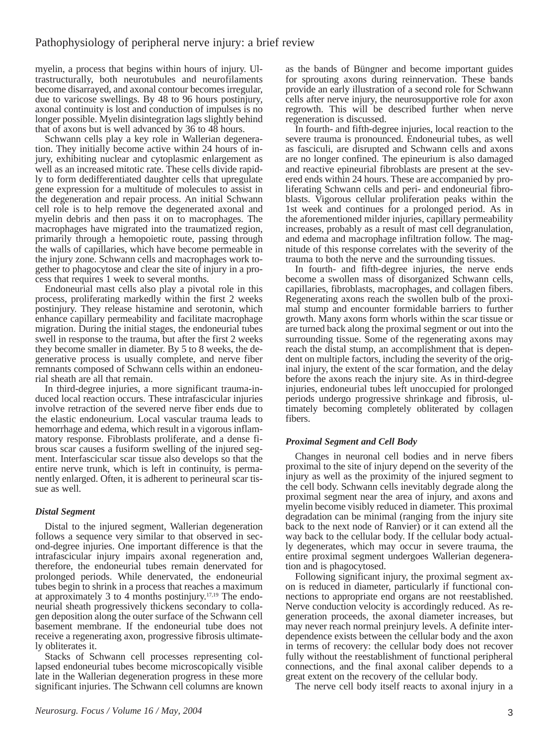myelin, a process that begins within hours of injury. Ultrastructurally, both neurotubules and neurofilaments become disarrayed, and axonal contour becomes irregular, due to varicose swellings. By 48 to 96 hours postinjury, axonal continuity is lost and conduction of impulses is no longer possible. Myelin disintegration lags slightly behind that of axons but is well advanced by 36 to 48 hours.

Schwann cells play a key role in Wallerian degeneration. They initially become active within 24 hours of injury, exhibiting nuclear and cytoplasmic enlargement as well as an increased mitotic rate. These cells divide rapidly to form dedifferentiated daughter cells that upregulate gene expression for a multitude of molecules to assist in the degeneration and repair process. An initial Schwann cell role is to help remove the degenerated axonal and myelin debris and then pass it on to macrophages. The macrophages have migrated into the traumatized region, primarily through a hemopoietic route, passing through the walls of capillaries, which have become permeable in the injury zone. Schwann cells and macrophages work together to phagocytose and clear the site of injury in a process that requires 1 week to several months.

Endoneurial mast cells also play a pivotal role in this process, proliferating markedly within the first 2 weeks postinjury. They release histamine and serotonin, which enhance capillary permeability and facilitate macrophage migration. During the initial stages, the endoneurial tubes swell in response to the trauma, but after the first 2 weeks they become smaller in diameter. By 5 to 8 weeks, the degenerative process is usually complete, and nerve fiber remnants composed of Schwann cells within an endoneurial sheath are all that remain.

In third-degree injuries, a more significant trauma-induced local reaction occurs. These intrafascicular injuries involve retraction of the severed nerve fiber ends due to the elastic endoneurium. Local vascular trauma leads to hemorrhage and edema, which result in a vigorous inflammatory response. Fibroblasts proliferate, and a dense fibrous scar causes a fusiform swelling of the injured segment. Interfascicular scar tissue also develops so that the entire nerve trunk, which is left in continuity, is permanently enlarged. Often, it is adherent to perineural scar tissue as well.

### *Distal Segment*

Distal to the injured segment, Wallerian degeneration follows a sequence very similar to that observed in second-degree injuries. One important difference is that the intrafascicular injury impairs axonal regeneration and, therefore, the endoneurial tubes remain denervated for prolonged periods. While denervated, the endoneurial tubes begin to shrink in a process that reaches a maximum at approximately 3 to 4 months postinjury.17,19 The endoneurial sheath progressively thickens secondary to collagen deposition along the outer surface of the Schwann cell basement membrane. If the endoneurial tube does not receive a regenerating axon, progressive fibrosis ultimately obliterates it.

Stacks of Schwann cell processes representing collapsed endoneurial tubes become microscopically visible late in the Wallerian degeneration progress in these more significant injuries. The Schwann cell columns are known

as the bands of Büngner and become important guides for sprouting axons during reinnervation. These bands provide an early illustration of a second role for Schwann cells after nerve injury, the neurosupportive role for axon regrowth. This will be described further when nerve regeneration is discussed.

In fourth- and fifth-degree injuries, local reaction to the severe trauma is pronounced. Endoneurial tubes, as well as fasciculi, are disrupted and Schwann cells and axons are no longer confined. The epineurium is also damaged and reactive epineurial fibroblasts are present at the severed ends within 24 hours. These are accompanied by proliferating Schwann cells and peri- and endoneurial fibroblasts. Vigorous cellular proliferation peaks within the 1st week and continues for a prolonged period. As in the aforementioned milder injuries, capillary permeability increases, probably as a result of mast cell degranulation, and edema and macrophage infiltration follow. The magnitude of this response correlates with the severity of the trauma to both the nerve and the surrounding tissues.

In fourth- and fifth-degree injuries, the nerve ends become a swollen mass of disorganized Schwann cells, capillaries, fibroblasts, macrophages, and collagen fibers. Regenerating axons reach the swollen bulb of the proximal stump and encounter formidable barriers to further growth. Many axons form whorls within the scar tissue or are turned back along the proximal segment or out into the surrounding tissue. Some of the regenerating axons may reach the distal stump, an accomplishment that is dependent on multiple factors, including the severity of the original injury, the extent of the scar formation, and the delay before the axons reach the injury site. As in third-degree injuries, endoneurial tubes left unoccupied for prolonged periods undergo progressive shrinkage and fibrosis, ultimately becoming completely obliterated by collagen fibers.

### *Proximal Segment and Cell Body*

Changes in neuronal cell bodies and in nerve fibers proximal to the site of injury depend on the severity of the injury as well as the proximity of the injured segment to the cell body. Schwann cells inevitably degrade along the proximal segment near the area of injury, and axons and myelin become visibly reduced in diameter. This proximal degradation can be minimal (ranging from the injury site back to the next node of Ranvier) or it can extend all the way back to the cellular body. If the cellular body actually degenerates, which may occur in severe trauma, the entire proximal segment undergoes Wallerian degeneration and is phagocytosed.

Following significant injury, the proximal segment axon is reduced in diameter, particularly if functional connections to appropriate end organs are not reestablished. Nerve conduction velocity is accordingly reduced. As regeneration proceeds, the axonal diameter increases, but may never reach normal preinjury levels. A definite interdependence exists between the cellular body and the axon in terms of recovery: the cellular body does not recover fully without the reestablishment of functional peripheral connections, and the final axonal caliber depends to a great extent on the recovery of the cellular body.

The nerve cell body itself reacts to axonal injury in a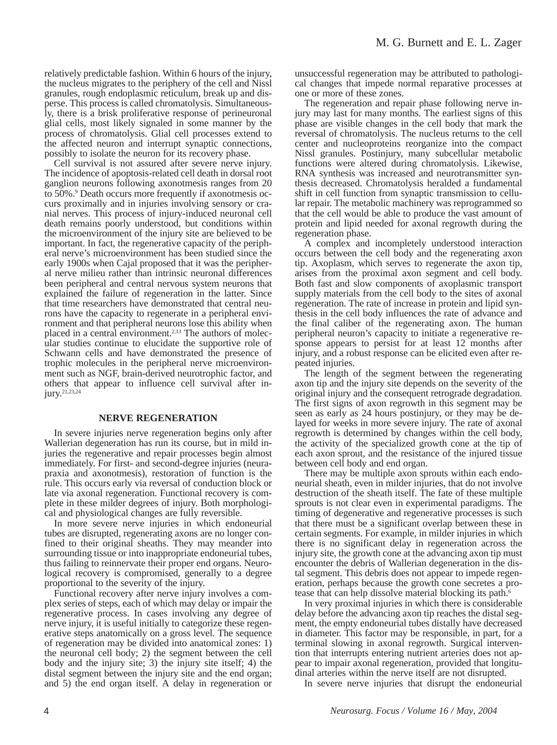relatively predictable fashion. Within 6 hours of the injury, the nucleus migrates to the periphery of the cell and Nissl granules, rough endoplasmic reticulum, break up and disperse. This process is called chromatolysis. Simultaneously, there is a brisk proliferative response of perineuronal glial cells, most likely signaled in some manner by the process of chromatolysis. Glial cell processes extend to the affected neuron and interrupt synaptic connections, possibly to isolate the neuron for its recovery phase.

Cell survival is not assured after severe nerve injury. The incidence of apoptosis-related cell death in dorsal root ganglion neurons following axonotmesis ranges from 20 to 50%.<sup>9</sup> Death occurs more frequently if axonotmesis occurs proximally and in injuries involving sensory or cranial nerves. This process of injury-induced neuronal cell death remains poorly understood, but conditions within the microenvironment of the injury site are believed to be important. In fact, the regenerative capacity of the peripheral nerve's microenvironment has been studied since the early 1900s when Cajal proposed that it was the peripheral nerve milieu rather than intrinsic neuronal differences been peripheral and central nervous system neurons that explained the failure of regeneration in the latter. Since that time researchers have demonstrated that central neurons have the capacity to regenerate in a peripheral environment and that peripheral neurons lose this ability when placed in a central environment.<sup>2,13</sup> The authors of molecular studies continue to elucidate the supportive role of Schwann cells and have demonstrated the presence of trophic molecules in the peripheral nerve microenvironment such as NGF, brain-derived neurotrophic factor, and others that appear to influence cell survival after injury.21,23,24

### **NERVE REGENERATION**

In severe injuries nerve regeneration begins only after Wallerian degeneration has run its course, but in mild injuries the regenerative and repair processes begin almost immediately. For first- and second-degree injuries (neurapraxia and axonotmesis), restoration of function is the rule. This occurs early via reversal of conduction block or late via axonal regeneration. Functional recovery is complete in these milder degrees of injury. Both morphological and physiological changes are fully reversible.

In more severe nerve injuries in which endoneurial tubes are disrupted, regenerating axons are no longer confined to their original sheaths. They may meander into surrounding tissue or into inappropriate endoneurial tubes, thus failing to reinnervate their proper end organs. Neurological recovery is compromised, generally to a degree proportional to the severity of the injury.

Functional recovery after nerve injury involves a complex series of steps, each of which may delay or impair the regenerative process. In cases involving any degree of nerve injury, it is useful initially to categorize these regenerative steps anatomically on a gross level. The sequence of regeneration may be divided into anatomical zones: 1) the neuronal cell body; 2) the segment between the cell body and the injury site; 3) the injury site itself; 4) the distal segment between the injury site and the end organ; and 5) the end organ itself. A delay in regeneration or

unsuccessful regeneration may be attributed to pathological changes that impede normal reparative processes at one or more of these zones.

The regeneration and repair phase following nerve injury may last for many months. The earliest signs of this phase are visible changes in the cell body that mark the reversal of chromatolysis. The nucleus returns to the cell center and nucleoproteins reorganize into the compact Nissl granules. Postinjury, many subcellular metabolic functions were altered during chromatolysis. Likewise, RNA synthesis was increased and neurotransmitter synthesis decreased. Chromatolysis heralded a fundamental shift in cell function from synaptic transmission to cellular repair. The metabolic machinery was reprogrammed so that the cell would be able to produce the vast amount of protein and lipid needed for axonal regrowth during the regeneration phase.

A complex and incompletely understood interaction occurs between the cell body and the regenerating axon tip. Axoplasm, which serves to regenerate the axon tip, arises from the proximal axon segment and cell body. Both fast and slow components of axoplasmic transport supply materials from the cell body to the sites of axonal regeneration. The rate of increase in protein and lipid synthesis in the cell body influences the rate of advance and the final caliber of the regenerating axon. The human peripheral neuron's capacity to initiate a regenerative response appears to persist for at least 12 months after injury, and a robust response can be elicited even after repeated injuries.

The length of the segment between the regenerating axon tip and the injury site depends on the severity of the original injury and the consequent retrograde degradation. The first signs of axon regrowth in this segment may be seen as early as 24 hours postinjury, or they may be delayed for weeks in more severe injury. The rate of axonal regrowth is determined by changes within the cell body, the activity of the specialized growth cone at the tip of each axon sprout, and the resistance of the injured tissue between cell body and end organ.

There may be multiple axon sprouts within each endoneurial sheath, even in milder injuries, that do not involve destruction of the sheath itself. The fate of these multiple sprouts is not clear even in experimental paradigms. The timing of degenerative and regenerative processes is such that there must be a significant overlap between these in certain segments. For example, in milder injuries in which there is no significant delay in regeneration across the injury site, the growth cone at the advancing axon tip must encounter the debris of Wallerian degeneration in the distal segment. This debris does not appear to impede regeneration, perhaps because the growth cone secretes a protease that can help dissolve material blocking its path.6

In very proximal injuries in which there is considerable delay before the advancing axon tip reaches the distal segment, the empty endoneurial tubes distally have decreased in diameter. This factor may be responsible, in part, for a terminal slowing in axonal regrowth. Surgical intervention that interrupts entering nutrient arteries does not appear to impair axonal regeneration, provided that longitudinal arteries within the nerve itself are not disrupted.

In severe nerve injuries that disrupt the endoneurial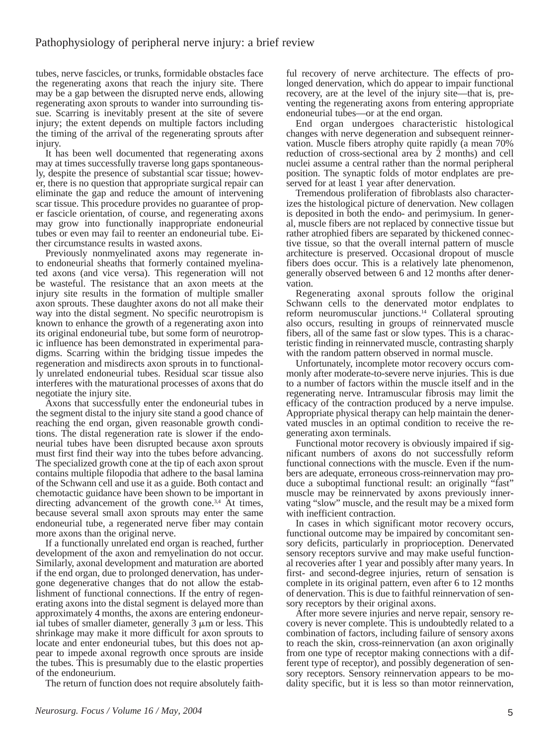tubes, nerve fascicles, or trunks, formidable obstacles face the regenerating axons that reach the injury site. There may be a gap between the disrupted nerve ends, allowing regenerating axon sprouts to wander into surrounding tissue. Scarring is inevitably present at the site of severe injury; the extent depends on multiple factors including the timing of the arrival of the regenerating sprouts after injury.

It has been well documented that regenerating axons may at times successfully traverse long gaps spontaneously, despite the presence of substantial scar tissue; however, there is no question that appropriate surgical repair can eliminate the gap and reduce the amount of intervening scar tissue. This procedure provides no guarantee of proper fascicle orientation, of course, and regenerating axons may grow into functionally inappropriate endoneurial tubes or even may fail to reenter an endoneurial tube. Either circumstance results in wasted axons.

Previously nonmyelinated axons may regenerate into endoneurial sheaths that formerly contained myelinated axons (and vice versa). This regeneration will not be wasteful. The resistance that an axon meets at the injury site results in the formation of multiple smaller axon sprouts. These daughter axons do not all make their way into the distal segment. No specific neurotropism is known to enhance the growth of a regenerating axon into its original endoneurial tube, but some form of neurotropic influence has been demonstrated in experimental paradigms. Scarring within the bridging tissue impedes the regeneration and misdirects axon sprouts in to functionally unrelated endoneurial tubes. Residual scar tissue also interferes with the maturational processes of axons that do negotiate the injury site.

Axons that successfully enter the endoneurial tubes in the segment distal to the injury site stand a good chance of reaching the end organ, given reasonable growth conditions. The distal regeneration rate is slower if the endoneurial tubes have been disrupted because axon sprouts must first find their way into the tubes before advancing. The specialized growth cone at the tip of each axon sprout contains multiple filopodia that adhere to the basal lamina of the Schwann cell and use it as a guide. Both contact and chemotactic guidance have been shown to be important in directing advancement of the growth cone.<sup>3,4</sup> At times, because several small axon sprouts may enter the same endoneurial tube, a regenerated nerve fiber may contain more axons than the original nerve.

If a functionally unrelated end organ is reached, further development of the axon and remyelination do not occur. Similarly, axonal development and maturation are aborted if the end organ, due to prolonged denervation, has undergone degenerative changes that do not allow the establishment of functional connections. If the entry of regenerating axons into the distal segment is delayed more than approximately 4 months, the axons are entering endoneurial tubes of smaller diameter, generally  $3 \mu m$  or less. This shrinkage may make it more difficult for axon sprouts to locate and enter endoneurial tubes, but this does not appear to impede axonal regrowth once sprouts are inside the tubes. This is presumably due to the elastic properties of the endoneurium.

The return of function does not require absolutely faith-

ful recovery of nerve architecture. The effects of prolonged denervation, which do appear to impair functional recovery, are at the level of the injury site—that is, preventing the regenerating axons from entering appropriate endoneurial tubes—or at the end organ.

End organ undergoes characteristic histological changes with nerve degeneration and subsequent reinnervation. Muscle fibers atrophy quite rapidly (a mean 70% reduction of cross-sectional area by 2 months) and cell nuclei assume a central rather than the normal peripheral position. The synaptic folds of motor endplates are preserved for at least 1 year after denervation.

Tremendous proliferation of fibroblasts also characterizes the histological picture of denervation. New collagen is deposited in both the endo- and perimysium. In general, muscle fibers are not replaced by connective tissue but rather atrophied fibers are separated by thickened connective tissue, so that the overall internal pattern of muscle architecture is preserved. Occasional dropout of muscle fibers does occur. This is a relatively late phenomenon, generally observed between 6 and 12 months after denervation.

Regenerating axonal sprouts follow the original Schwann cells to the denervated motor endplates to reform neuromuscular junctions.14 Collateral sprouting also occurs, resulting in groups of reinnervated muscle fibers, all of the same fast or slow types. This is a characteristic finding in reinnervated muscle, contrasting sharply with the random pattern observed in normal muscle.

Unfortunately, incomplete motor recovery occurs commonly after moderate-to-severe nerve injuries. This is due to a number of factors within the muscle itself and in the regenerating nerve. Intramuscular fibrosis may limit the efficacy of the contraction produced by a nerve impulse. Appropriate physical therapy can help maintain the denervated muscles in an optimal condition to receive the regenerating axon terminals.

Functional motor recovery is obviously impaired if significant numbers of axons do not successfully reform functional connections with the muscle. Even if the numbers are adequate, erroneous cross-reinnervation may produce a suboptimal functional result: an originally "fast" muscle may be reinnervated by axons previously innervating "slow" muscle, and the result may be a mixed form with inefficient contraction.

In cases in which significant motor recovery occurs, functional outcome may be impaired by concomitant sensory deficits, particularly in proprioception. Denervated sensory receptors survive and may make useful functional recoveries after 1 year and possibly after many years. In first- and second-degree injuries, return of sensation is complete in its original pattern, even after 6 to 12 months of denervation. This is due to faithful reinnervation of sensory receptors by their original axons.

After more severe injuries and nerve repair, sensory recovery is never complete. This is undoubtedly related to a combination of factors, including failure of sensory axons to reach the skin, cross-reinnervation (an axon originally from one type of receptor making connections with a different type of receptor), and possibly degeneration of sensory receptors. Sensory reinnervation appears to be modality specific, but it is less so than motor reinnervation,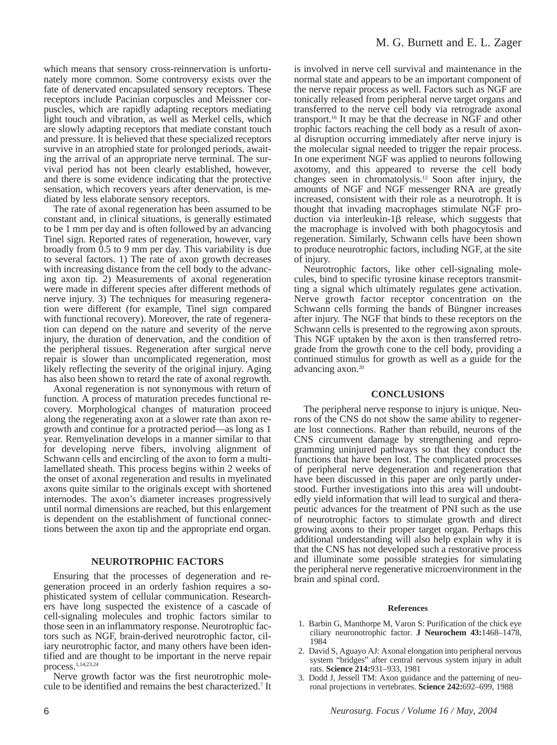which means that sensory cross-reinnervation is unfortunately more common. Some controversy exists over the fate of denervated encapsulated sensory receptors. These receptors include Pacinian corpuscles and Meissner corpuscles, which are rapidly adapting receptors mediating light touch and vibration, as well as Merkel cells, which are slowly adapting receptors that mediate constant touch and pressure. It is believed that these specialized receptors survive in an atrophied state for prolonged periods, awaiting the arrival of an appropriate nerve terminal. The survival period has not been clearly established, however, and there is some evidence indicating that the protective sensation, which recovers years after denervation, is mediated by less elaborate sensory receptors.

The rate of axonal regeneration has been assumed to be constant and, in clinical situations, is generally estimated to be 1 mm per day and is often followed by an advancing Tinel sign. Reported rates of regeneration, however, vary broadly from 0.5 to 9 mm per day. This variability is due to several factors. 1) The rate of axon growth decreases with increasing distance from the cell body to the advancing axon tip. 2) Measurements of axonal regeneration were made in different species after different methods of nerve injury. 3) The techniques for measuring regeneration were different (for example, Tinel sign compared with functional recovery). Moreover, the rate of regeneration can depend on the nature and severity of the nerve injury, the duration of denervation, and the condition of the peripheral tissues. Regeneration after surgical nerve repair is slower than uncomplicated regeneration, most likely reflecting the severity of the original injury. Aging has also been shown to retard the rate of axonal regrowth.

Axonal regeneration is not synonymous with return of function. A process of maturation precedes functional recovery. Morphological changes of maturation proceed along the regenerating axon at a slower rate than axon regrowth and continue for a protracted period—as long as 1 year. Remyelination develops in a manner similar to that for developing nerve fibers, involving alignment of Schwann cells and encircling of the axon to form a multilamellated sheath. This process begins within 2 weeks of the onset of axonal regeneration and results in myelinated axons quite similar to the originals except with shortened internodes. The axon's diameter increases progressively until normal dimensions are reached, but this enlargement is dependent on the establishment of functional connections between the axon tip and the appropriate end organ.

### **NEUROTROPHIC FACTORS**

Ensuring that the processes of degeneration and regeneration proceed in an orderly fashion requires a sophisticated system of cellular communication. Researchers have long suspected the existence of a cascade of cell-signaling molecules and trophic factors similar to those seen in an inflammatory response. Neurotrophic factors such as NGF, brain-derived neurotrophic factor, ciliary neurotrophic factor, and many others have been identified and are thought to be important in the nerve repair process.1,14,23,24

Nerve growth factor was the first neurotrophic molecule to be identified and remains the best characterized.7 It is involved in nerve cell survival and maintenance in the normal state and appears to be an important component of the nerve repair process as well. Factors such as NGF are tonically released from peripheral nerve target organs and transferred to the nerve cell body via retrograde axonal transport.16 It may be that the decrease in NGF and other trophic factors reaching the cell body as a result of axonal disruption occurring immediately after nerve injury is the molecular signal needed to trigger the repair process. In one experiment NGF was applied to neurons following axotomy, and this appeared to reverse the cell body changes seen in chromatolysis.12 Soon after injury, the amounts of NGF and NGF messenger RNA are greatly increased, consistent with their role as a neurotroph. It is thought that invading macrophages stimulate NGF production via interleukin- $1\beta$  release, which suggests that the macrophage is involved with both phagocytosis and regeneration. Similarly, Schwann cells have been shown to produce neurotrophic factors, including NGF, at the site of injury.

Neurotrophic factors, like other cell-signaling molecules, bind to specific tyrosine kinase receptors transmitting a signal which ultimately regulates gene activation. Nerve growth factor receptor concentration on the Schwann cells forming the bands of Büngner increases after injury. The NGF that binds to these receptors on the Schwann cells is presented to the regrowing axon sprouts. This NGF uptaken by the axon is then transferred retrograde from the growth cone to the cell body, providing a continued stimulus for growth as well as a guide for the advancing axon.20

#### **CONCLUSIONS**

The peripheral nerve response to injury is unique. Neurons of the CNS do not show the same ability to regenerate lost connections. Rather than rebuild, neurons of the CNS circumvent damage by strengthening and reprogramming uninjured pathways so that they conduct the functions that have been lost. The complicated processes of peripheral nerve degeneration and regeneration that have been discussed in this paper are only partly understood. Further investigations into this area will undoubtedly yield information that will lead to surgical and therapeutic advances for the treatment of PNI such as the use of neurotrophic factors to stimulate growth and direct growing axons to their proper target organ. Perhaps this additional understanding will also help explain why it is that the CNS has not developed such a restorative process and illuminate some possible strategies for simulating the peripheral nerve regenerative microenvironment in the brain and spinal cord.

#### **References**

- 1. Barbin G, Manthorpe M, Varon S: Purification of the chick eye ciliary neuronotrophic factor. **J Neurochem 43:**1468–1478, 1984
- 2. David S, Aguayo AJ: Axonal elongation into peripheral nervous system "bridges" after central nervous system injury in adult rats. **Science 214:**931–933, 1981
- 3. Dodd J, Jessell TM: Axon guidance and the patterning of neuronal projections in vertebrates. **Science 242:**692–699, 1988